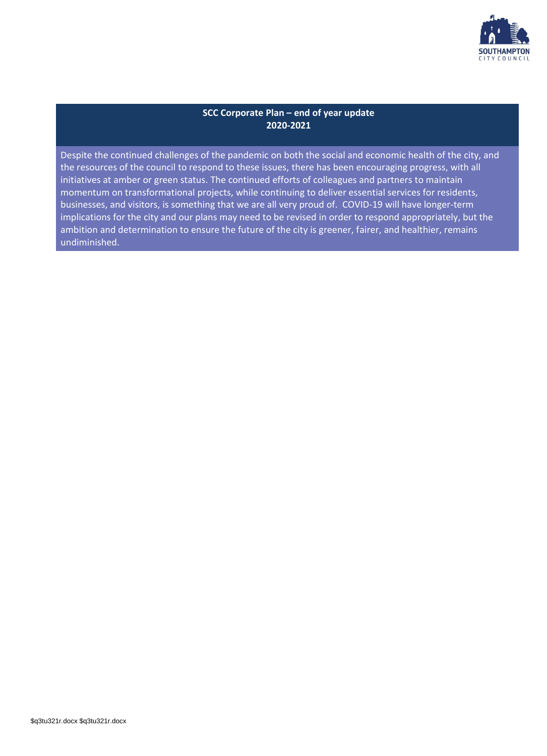

### **SCC Corporate Plan – end of year update 2020-2021**

Despite the continued challenges of the pandemic on both the social and economic health of the city, and the resources of the council to respond to these issues, there has been encouraging progress, with all initiatives at amber or green status. The continued efforts of colleagues and partners to maintain momentum on transformational projects, while continuing to deliver essential services for residents, businesses, and visitors, is something that we are all very proud of. COVID-19 will have longer-term implications for the city and our plans may need to be revised in order to respond appropriately, but the ambition and determination to ensure the future of the city is greener, fairer, and healthier, remains undiminished.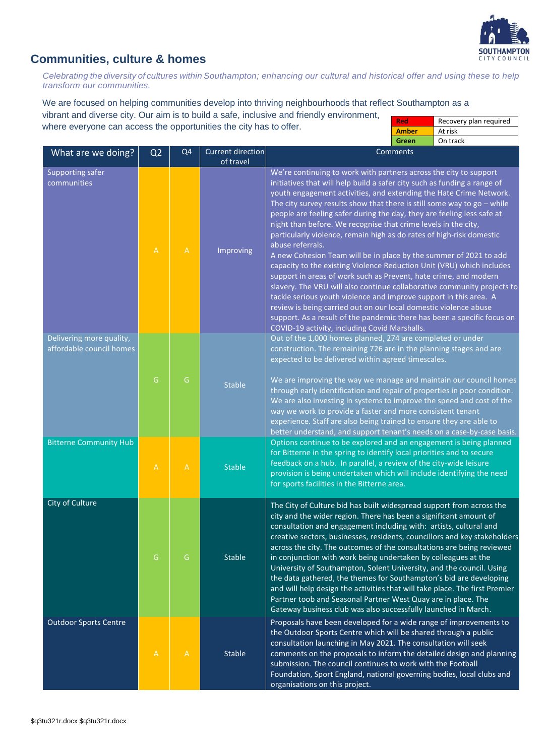

### **Communities, culture & homes**

*Celebrating the diversity of cultures within Southampton; enhancing our cultural and historical offer and using these to help transform our communities.*

We are focused on helping communities develop into thriving neighbourhoods that reflect Southampton as a vibrant and diverse city. Our aim is to build a safe, inclusive and friendly environment, where everyone can access the opportunities the city has to offer. **Red** Recovery plan required **Amber** At risk

|                                                      |                                                                       |                |                                       | On track<br>Green                                                                                                                                                                                                                                                                                                                                                                                                                                                                                                                                                                                                                                                                                                                                                                                                                                                                                                                                                                                                                                                                                          |
|------------------------------------------------------|-----------------------------------------------------------------------|----------------|---------------------------------------|------------------------------------------------------------------------------------------------------------------------------------------------------------------------------------------------------------------------------------------------------------------------------------------------------------------------------------------------------------------------------------------------------------------------------------------------------------------------------------------------------------------------------------------------------------------------------------------------------------------------------------------------------------------------------------------------------------------------------------------------------------------------------------------------------------------------------------------------------------------------------------------------------------------------------------------------------------------------------------------------------------------------------------------------------------------------------------------------------------|
| What are we doing?                                   | Q <sub>2</sub>                                                        | Q <sub>4</sub> | <b>Current direction</b><br>of travel | <b>Comments</b>                                                                                                                                                                                                                                                                                                                                                                                                                                                                                                                                                                                                                                                                                                                                                                                                                                                                                                                                                                                                                                                                                            |
| <b>Supporting safer</b><br>communities               | $\mathbb A$                                                           | $\overline{A}$ | Improving                             | We're continuing to work with partners across the city to support<br>initiatives that will help build a safer city such as funding a range of<br>youth engagement activities, and extending the Hate Crime Network.<br>The city survey results show that there is still some way to $go$ – while<br>people are feeling safer during the day, they are feeling less safe at<br>night than before. We recognise that crime levels in the city,<br>particularly violence, remain high as do rates of high-risk domestic<br>abuse referrals.<br>A new Cohesion Team will be in place by the summer of 2021 to add<br>capacity to the existing Violence Reduction Unit (VRU) which includes<br>support in areas of work such as Prevent, hate crime, and modern<br>slavery. The VRU will also continue collaborative community projects to<br>tackle serious youth violence and improve support in this area. A<br>review is being carried out on our local domestic violence abuse<br>support. As a result of the pandemic there has been a specific focus on<br>COVID-19 activity, including Covid Marshalls. |
| Delivering more quality,<br>affordable council homes | G                                                                     | G              | <b>Stable</b>                         | Out of the 1,000 homes planned, 274 are completed or under<br>construction. The remaining 726 are in the planning stages and are<br>expected to be delivered within agreed timescales.<br>We are improving the way we manage and maintain our council homes<br>through early identification and repair of properties in poor condition.<br>We are also investing in systems to improve the speed and cost of the<br>way we work to provide a faster and more consistent tenant<br>experience. Staff are also being trained to ensure they are able to<br>better understand, and support tenant's needs on a case-by-case basis.                                                                                                                                                                                                                                                                                                                                                                                                                                                                            |
| <b>Bitterne Community Hub</b>                        | $\mathsf{A}% _{\mathsf{A}}^{\prime}=\mathsf{A}_{\mathsf{A}}^{\prime}$ | $\overline{A}$ | <b>Stable</b>                         | Options continue to be explored and an engagement is being planned<br>for Bitterne in the spring to identify local priorities and to secure<br>feedback on a hub. In parallel, a review of the city-wide leisure<br>provision is being undertaken which will include identifying the need<br>for sports facilities in the Bitterne area.                                                                                                                                                                                                                                                                                                                                                                                                                                                                                                                                                                                                                                                                                                                                                                   |
| City of Culture                                      | G                                                                     | G              | <b>Stable</b>                         | The City of Culture bid has built widespread support from across the<br>city and the wider region. There has been a significant amount of<br>consultation and engagement including with: artists, cultural and<br>creative sectors, businesses, residents, councillors and key stakeholders<br>across the city. The outcomes of the consultations are being reviewed<br>in conjunction with work being undertaken by colleagues at the<br>University of Southampton, Solent University, and the council. Using<br>the data gathered, the themes for Southampton's bid are developing<br>and will help design the activities that will take place. The first Premier<br>Partner toob and Seasonal Partner West Quay are in place. The<br>Gateway business club was also successfully launched in March.                                                                                                                                                                                                                                                                                                     |
| <b>Outdoor Sports Centre</b>                         | $\mathsf{A}$                                                          | $\overline{A}$ | <b>Stable</b>                         | Proposals have been developed for a wide range of improvements to<br>the Outdoor Sports Centre which will be shared through a public<br>consultation launching in May 2021. The consultation will seek<br>comments on the proposals to inform the detailed design and planning<br>submission. The council continues to work with the Football<br>Foundation, Sport England, national governing bodies, local clubs and<br>organisations on this project.                                                                                                                                                                                                                                                                                                                                                                                                                                                                                                                                                                                                                                                   |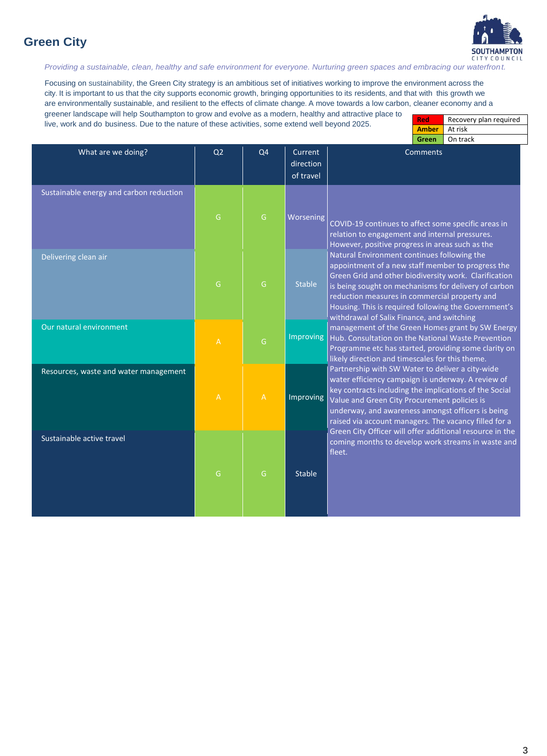## **Green City**



*Providing a sustainable, clean, healthy and safe environment for everyone. Nurturing green spaces and embracing our waterfront.*

Focusing on sustainability, the Green City strategy is an ambitious set of initiatives working to improve the environment across the city. It is important to us that the city supports economic growth, bringing opportunities to its residents, and that with this growth we are environmentally sustainable, and resilient to the effects of climate change. A move towards a low carbon, cleaner economy and a greener landscape will help Southampton to grow and evolve as a modern, healthy and attractive place to

live, work and do business. Due to the nature of these activities, some extend well beyond 2025.

| Red          | Recovery plan required |
|--------------|------------------------|
| <b>Amber</b> | At risk                |
| Green        | On track               |

| What are we doing?                      | Q <sub>2</sub> | Q <sub>4</sub> | Current<br>direction<br>of travel | Comments                                                                                                                                                                                                                                                                                                                                                                 |  |
|-----------------------------------------|----------------|----------------|-----------------------------------|--------------------------------------------------------------------------------------------------------------------------------------------------------------------------------------------------------------------------------------------------------------------------------------------------------------------------------------------------------------------------|--|
| Sustainable energy and carbon reduction | ${\mathsf G}$  | ${\mathsf G}$  | Worsening                         | COVID-19 continues to affect some specific areas in<br>relation to engagement and internal pressures.<br>However, positive progress in areas such as the                                                                                                                                                                                                                 |  |
| Delivering clean air                    | G              | G              | <b>Stable</b>                     | Natural Environment continues following the<br>appointment of a new staff member to progress the<br>Green Grid and other biodiversity work. Clarification<br>is being sought on mechanisms for delivery of carbon<br>reduction measures in commercial property and<br>Housing. This is required following the Government's<br>withdrawal of Salix Finance, and switching |  |
| Our natural environment                 | $\mathbb A$    | $\mathsf{G}$   | <b>Improving</b>                  | management of the Green Homes grant by SW Energy<br>Hub. Consultation on the National Waste Prevention<br>Programme etc has started, providing some clarity on<br>likely direction and timescales for this theme.                                                                                                                                                        |  |
| Resources, waste and water management   | $\mathbb A$    | $\mathsf{A}$   | Improving                         | Partnership with SW Water to deliver a city-wide<br>water efficiency campaign is underway. A review of<br>key contracts including the implications of the Social<br>Value and Green City Procurement policies is<br>underway, and awareness amongst officers is being<br>raised via account managers. The vacancy filled for a                                           |  |
| Sustainable active travel               | G              | G              | <b>Stable</b>                     | Green City Officer will offer additional resource in the<br>coming months to develop work streams in waste and<br>fleet.                                                                                                                                                                                                                                                 |  |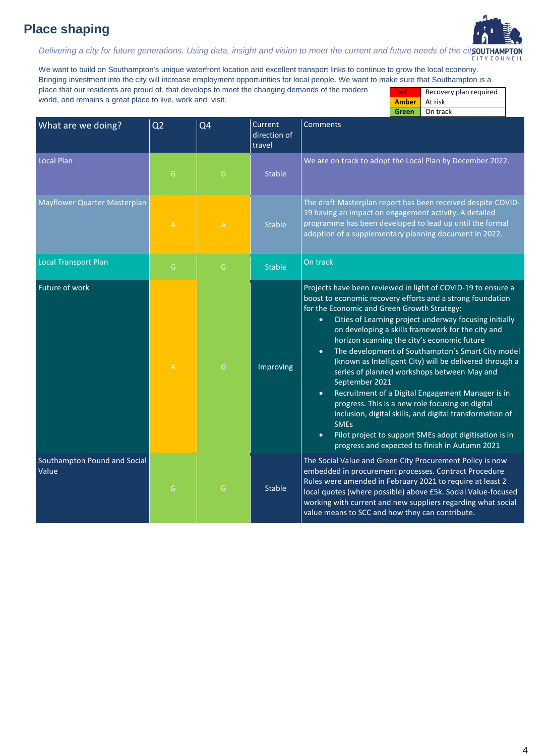# **Place shaping**



*Delivering a city for future generations. Using data, insight and vision to meet the current and future needs of the city.*

We want to build on Southampton's unique waterfront location and excellent transport links to continue to grow the local economy. Bringing investment into the city will increase employment opportunities for local people. We want to make sure that Southampton is a place that our residents are proud of, that develops to meet the changing demands of the modern world, and remains a great place to live, work and visit. **Red** Recovery plan required **Amber** At risk

|                                       |                                                                    |                |                                   | On track<br>Green                                                                                                                                                                                                                                                                                                                                                                                                                                                                                                                                                                                                                                                                                                                                                                                                                                                            |
|---------------------------------------|--------------------------------------------------------------------|----------------|-----------------------------------|------------------------------------------------------------------------------------------------------------------------------------------------------------------------------------------------------------------------------------------------------------------------------------------------------------------------------------------------------------------------------------------------------------------------------------------------------------------------------------------------------------------------------------------------------------------------------------------------------------------------------------------------------------------------------------------------------------------------------------------------------------------------------------------------------------------------------------------------------------------------------|
| What are we doing?                    | Q <sub>2</sub>                                                     | Q <sub>4</sub> | Current<br>direction of<br>travel | <b>Comments</b>                                                                                                                                                                                                                                                                                                                                                                                                                                                                                                                                                                                                                                                                                                                                                                                                                                                              |
| Local Plan                            | G                                                                  | G              | <b>Stable</b>                     | We are on track to adopt the Local Plan by December 2022.                                                                                                                                                                                                                                                                                                                                                                                                                                                                                                                                                                                                                                                                                                                                                                                                                    |
| Mayflower Quarter Masterplan          | $\mathsf{A}% _{\mathsf{A}}^{\mathsf{A}}\left( \mathsf{A}\right)$   | $\overline{A}$ | <b>Stable</b>                     | The draft Masterplan report has been received despite COVID-<br>19 having an impact on engagement activity. A detailed<br>programme has been developed to lead up until the formal<br>adoption of a supplementary planning document in 2022.                                                                                                                                                                                                                                                                                                                                                                                                                                                                                                                                                                                                                                 |
| <b>Local Transport Plan</b>           | G                                                                  | G              | <b>Stable</b>                     | On track                                                                                                                                                                                                                                                                                                                                                                                                                                                                                                                                                                                                                                                                                                                                                                                                                                                                     |
| Future of work                        | $\mathsf{A}% _{\mathsf{A}}^{\mathsf{A}}\!\left( \mathsf{A}\right)$ | G              | Improving                         | Projects have been reviewed in light of COVID-19 to ensure a<br>boost to economic recovery efforts and a strong foundation<br>for the Economic and Green Growth Strategy:<br>Cities of Learning project underway focusing initially<br>$\bullet$<br>on developing a skills framework for the city and<br>horizon scanning the city's economic future<br>The development of Southampton's Smart City model<br>$\bullet$<br>(known as Intelligent City) will be delivered through a<br>series of planned workshops between May and<br>September 2021<br>Recruitment of a Digital Engagement Manager is in<br>$\bullet$<br>progress. This is a new role focusing on digital<br>inclusion, digital skills, and digital transformation of<br><b>SMEs</b><br>Pilot project to support SMEs adopt digitisation is in<br>$\bullet$<br>progress and expected to finish in Autumn 2021 |
| Southampton Pound and Social<br>Value | ${\mathsf G}$                                                      | G              | <b>Stable</b>                     | The Social Value and Green City Procurement Policy is now<br>embedded in procurement processes. Contract Procedure<br>Rules were amended in February 2021 to require at least 2<br>local quotes (where possible) above £5k. Social Value-focused<br>working with current and new suppliers regarding what social<br>value means to SCC and how they can contribute.                                                                                                                                                                                                                                                                                                                                                                                                                                                                                                          |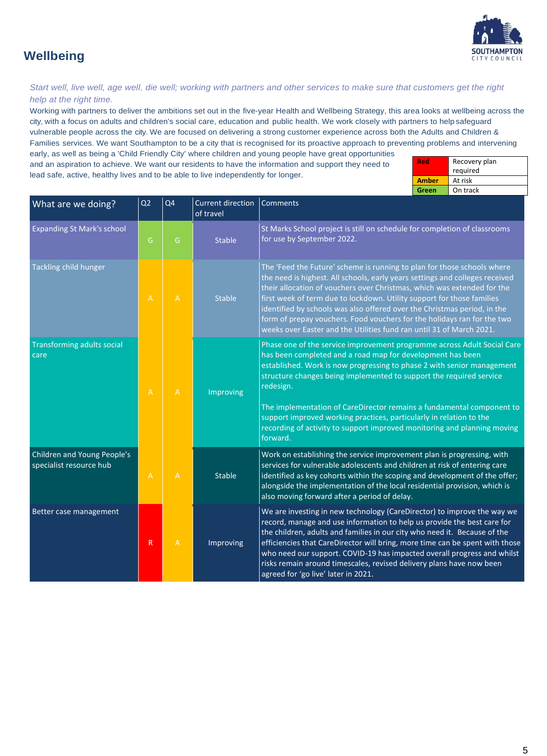

## **Wellbeing**

#### *Start well, live well, age well, die well; working with partners and other services to make sure that customers get the right help at the right time.*

Working with partners to deliver the ambitions set out in the five-year Health and Wellbeing Strategy, this area looks at wellbeing across the city, with a focus on adults and children's social care, education and public health. We work closely with partners to help safeguard vulnerable people across the city. We are focused on delivering a strong customer experience across both the Adults and Children & Families services. We want Southampton to be a city that is recognised for its proactive approach to preventing problems and intervening early, as well as being a 'Child Friendly City' where children and young people have great opportunities

and an aspiration to achieve. We want our residents to have the information and support they need to lead safe, active, healthy lives and to be able to live independently for longer.

| Red          | Recovery plan |  |  |
|--------------|---------------|--|--|
|              | required      |  |  |
| <b>Amber</b> | At risk       |  |  |
| Green        | On track      |  |  |

| What are we doing?                                     | Q <sub>2</sub> | Q <sub>4</sub> | <b>Current direction</b><br>of travel                                                                                                                       | Comments                                                                                                                                                                                                                                                                                                                                                                                                                                                                                                                                    |
|--------------------------------------------------------|----------------|----------------|-------------------------------------------------------------------------------------------------------------------------------------------------------------|---------------------------------------------------------------------------------------------------------------------------------------------------------------------------------------------------------------------------------------------------------------------------------------------------------------------------------------------------------------------------------------------------------------------------------------------------------------------------------------------------------------------------------------------|
| <b>Expanding St Mark's school</b>                      | G              | G              | <b>Stable</b>                                                                                                                                               | St Marks School project is still on schedule for completion of classrooms<br>for use by September 2022.                                                                                                                                                                                                                                                                                                                                                                                                                                     |
| Tackling child hunger                                  | $\overline{A}$ | $\mathsf{A}$   | <b>Stable</b>                                                                                                                                               | The 'Feed the Future' scheme is running to plan for those schools where<br>the need is highest. All schools, early years settings and colleges received<br>their allocation of vouchers over Christmas, which was extended for the<br>first week of term due to lockdown. Utility support for those families<br>identified by schools was also offered over the Christmas period, in the<br>form of prepay vouchers. Food vouchers for the holidays ran for the two<br>weeks over Easter and the Utilities fund ran until 31 of March 2021. |
| <b>Transforming adults social</b><br>care              | $\overline{A}$ | $\mathsf{A}$   | Improving                                                                                                                                                   | Phase one of the service improvement programme across Adult Social Care<br>has been completed and a road map for development has been<br>established. Work is now progressing to phase 2 with senior management<br>structure changes being implemented to support the required service<br>redesign.<br>The implementation of CareDirector remains a fundamental component to                                                                                                                                                                |
|                                                        |                |                | support improved working practices, particularly in relation to the<br>recording of activity to support improved monitoring and planning moving<br>forward. |                                                                                                                                                                                                                                                                                                                                                                                                                                                                                                                                             |
| Children and Young People's<br>specialist resource hub | $\overline{A}$ | $\overline{A}$ | <b>Stable</b>                                                                                                                                               | Work on establishing the service improvement plan is progressing, with<br>services for vulnerable adolescents and children at risk of entering care<br>identified as key cohorts within the scoping and development of the offer;<br>alongside the implementation of the local residential provision, which is<br>also moving forward after a period of delay.                                                                                                                                                                              |
| Better case management                                 | $\mathsf{R}$   | $\mathsf{A}$   | Improving                                                                                                                                                   | We are investing in new technology (CareDirector) to improve the way we<br>record, manage and use information to help us provide the best care for<br>the children, adults and families in our city who need it. Because of the<br>efficiencies that CareDirector will bring, more time can be spent with those<br>who need our support. COVID-19 has impacted overall progress and whilst<br>risks remain around timescales, revised delivery plans have now been<br>agreed for 'go live' later in 2021.                                   |